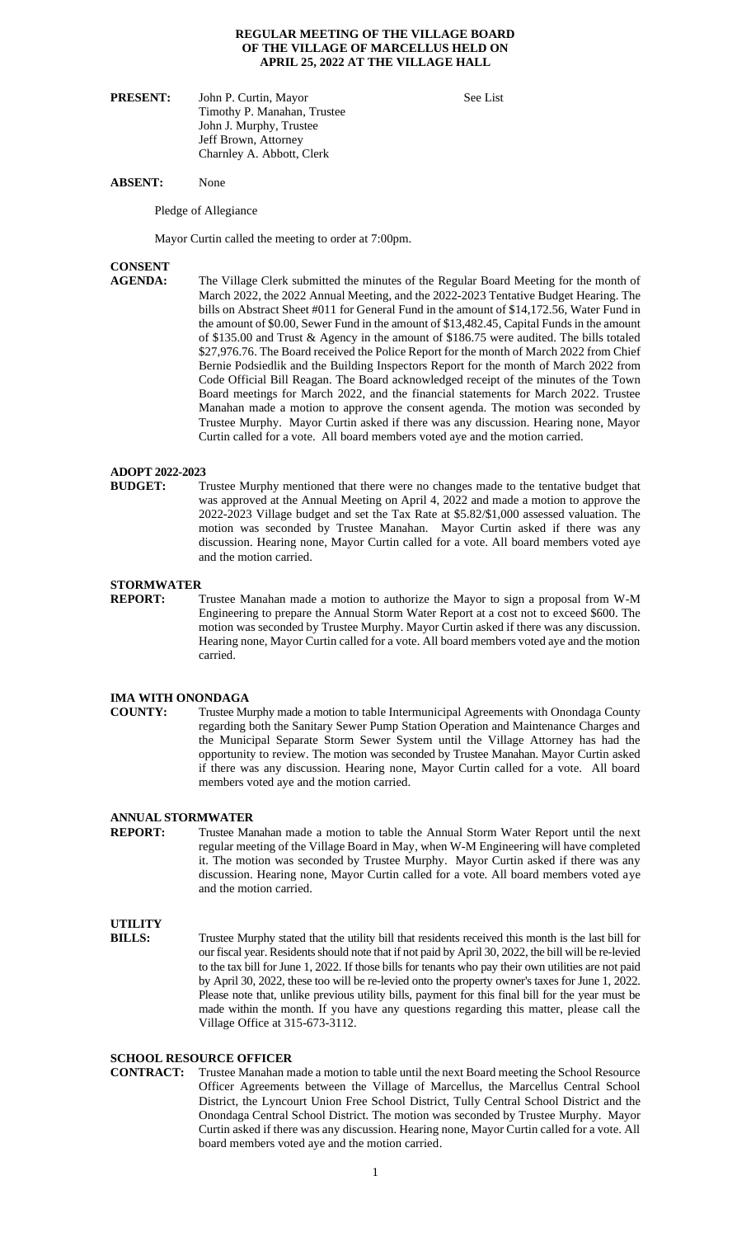#### **REGULAR MEETING OF THE VILLAGE BOARD OF THE VILLAGE OF MARCELLUS HELD ON APRIL 25, 2022 AT THE VILLAGE HALL**

| <b>PRESENT:</b> | John P. Curtin, Mayor       | See List |
|-----------------|-----------------------------|----------|
|                 | Timothy P. Manahan, Trustee |          |
|                 | John J. Murphy, Trustee     |          |
|                 | Jeff Brown, Attorney        |          |
|                 | Charnley A. Abbott, Clerk   |          |

#### **ABSENT:** None

Pledge of Allegiance

Mayor Curtin called the meeting to order at 7:00pm.

# **CONSENT**

The Village Clerk submitted the minutes of the Regular Board Meeting for the month of March 2022, the 2022 Annual Meeting, and the 2022-2023 Tentative Budget Hearing. The bills on Abstract Sheet #011 for General Fund in the amount of \$14,172.56, Water Fund in the amount of \$0.00, Sewer Fund in the amount of \$13,482.45, Capital Funds in the amount of \$135.00 and Trust & Agency in the amount of \$186.75 were audited. The bills totaled \$27,976.76. The Board received the Police Report for the month of March 2022 from Chief Bernie Podsiedlik and the Building Inspectors Report for the month of March 2022 from Code Official Bill Reagan. The Board acknowledged receipt of the minutes of the Town Board meetings for March 2022, and the financial statements for March 2022. Trustee Manahan made a motion to approve the consent agenda. The motion was seconded by Trustee Murphy. Mayor Curtin asked if there was any discussion. Hearing none, Mayor Curtin called for a vote. All board members voted aye and the motion carried.

### **ADOPT 2022-2023**

**BUDGET:** Trustee Murphy mentioned that there were no changes made to the tentative budget that was approved at the Annual Meeting on April 4, 2022 and made a motion to approve the 2022-2023 Village budget and set the Tax Rate at \$5.82/\$1,000 assessed valuation. The motion was seconded by Trustee Manahan. Mayor Curtin asked if there was any discussion. Hearing none, Mayor Curtin called for a vote. All board members voted aye and the motion carried.

### **STORMWATER**

**REPORT:** Trustee Manahan made a motion to authorize the Mayor to sign a proposal from W-M Engineering to prepare the Annual Storm Water Report at a cost not to exceed \$600. The motion was seconded by Trustee Murphy. Mayor Curtin asked if there was any discussion. Hearing none, Mayor Curtin called for a vote. All board members voted aye and the motion carried.

# **IMA WITH ONONDAGA**<br> **COUNTY:** Trustee Mu

Trustee Murphy made a motion to table Intermunicipal Agreements with Onondaga County regarding both the Sanitary Sewer Pump Station Operation and Maintenance Charges and the Municipal Separate Storm Sewer System until the Village Attorney has had the opportunity to review. The motion was seconded by Trustee Manahan. Mayor Curtin asked if there was any discussion. Hearing none, Mayor Curtin called for a vote. All board members voted aye and the motion carried.

### **ANNUAL STORMWATER**

**REPORT:** Trustee Manahan made a motion to table the Annual Storm Water Report until the next regular meeting of the Village Board in May, when W-M Engineering will have completed it. The motion was seconded by Trustee Murphy. Mayor Curtin asked if there was any discussion. Hearing none, Mayor Curtin called for a vote. All board members voted aye and the motion carried.

# **UTILITY**

**BILLS:** Trustee Murphy stated that the utility bill that residents received this month is the last bill for our fiscal year. Residents should note that if not paid by April 30, 2022, the bill will be re-levied to the tax bill for June 1, 2022. If those bills for tenants who pay their own utilities are not paid by April 30, 2022, these too will be re-levied onto the property owner's taxes for June 1, 2022. Please note that, unlike previous utility bills, payment for this final bill for the year must be made within the month. If you have any questions regarding this matter, please call the Village Office at 315-673-3112.

# **SCHOOL RESOURCE OFFICER<br>CONTRACT:** Trustee Manahan m

Trustee Manahan made a motion to table until the next Board meeting the School Resource Officer Agreements between the Village of Marcellus, the Marcellus Central School District, the Lyncourt Union Free School District, Tully Central School District and the Onondaga Central School District. The motion was seconded by Trustee Murphy. Mayor Curtin asked if there was any discussion. Hearing none, Mayor Curtin called for a vote. All board members voted aye and the motion carried.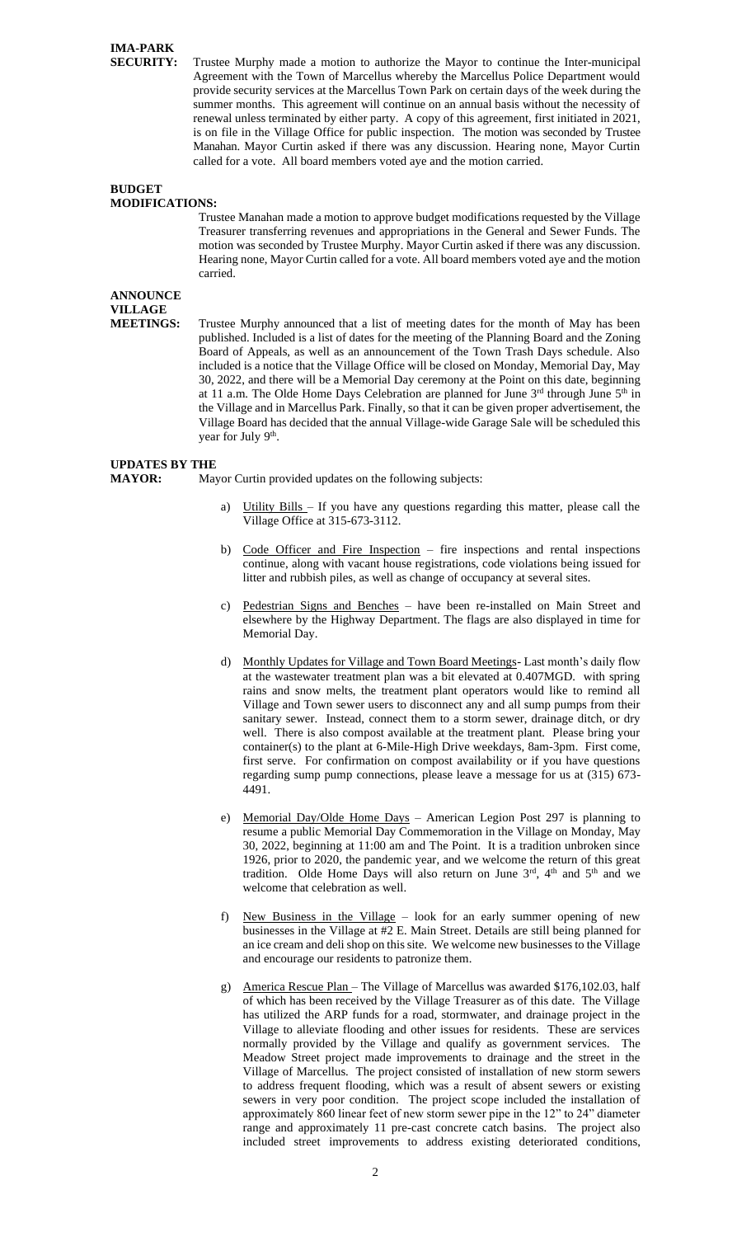# **IMA-PARK**

**SECURITY:** Trustee Murphy made a motion to authorize the Mayor to continue the Inter-municipal Agreement with the Town of Marcellus whereby the Marcellus Police Department would provide security services at the Marcellus Town Park on certain days of the week during the summer months. This agreement will continue on an annual basis without the necessity of renewal unless terminated by either party. A copy of this agreement, first initiated in 2021, is on file in the Village Office for public inspection. The motion was seconded by Trustee Manahan. Mayor Curtin asked if there was any discussion. Hearing none, Mayor Curtin called for a vote. All board members voted aye and the motion carried.

#### **BUDGET MODIFICATIONS:**

Trustee Manahan made a motion to approve budget modifications requested by the Village Treasurer transferring revenues and appropriations in the General and Sewer Funds. The motion was seconded by Trustee Murphy. Mayor Curtin asked if there was any discussion. Hearing none, Mayor Curtin called for a vote. All board members voted aye and the motion carried.

# **ANNOUNCE**

**VILLAGE<br>MEETINGS:** 

Trustee Murphy announced that a list of meeting dates for the month of May has been published. Included is a list of dates for the meeting of the Planning Board and the Zoning Board of Appeals, as well as an announcement of the Town Trash Days schedule. Also included is a notice that the Village Office will be closed on Monday, Memorial Day, May 30, 2022, and there will be a Memorial Day ceremony at the Point on this date, beginning at 11 a.m. The Olde Home Days Celebration are planned for June  $3<sup>rd</sup>$  through June  $5<sup>th</sup>$  in the Village and in Marcellus Park. Finally, so that it can be given proper advertisement, the Village Board has decided that the annual Village-wide Garage Sale will be scheduled this year for July 9<sup>th</sup>.

## **UPDATES BY THE**

**MAYOR:** Mayor Curtin provided updates on the following subjects:

- Utility Bills If you have any questions regarding this matter, please call the Village Office at 315-673-3112.
- b) Code Officer and Fire Inspection fire inspections and rental inspections continue, along with vacant house registrations, code violations being issued for litter and rubbish piles, as well as change of occupancy at several sites.
- c) Pedestrian Signs and Benches have been re-installed on Main Street and elsewhere by the Highway Department. The flags are also displayed in time for Memorial Day.
- d) Monthly Updates for Village and Town Board Meetings- Last month's daily flow at the wastewater treatment plan was a bit elevated at 0.407MGD. with spring rains and snow melts, the treatment plant operators would like to remind all Village and Town sewer users to disconnect any and all sump pumps from their sanitary sewer. Instead, connect them to a storm sewer, drainage ditch, or dry well. There is also compost available at the treatment plant. Please bring your container(s) to the plant at 6-Mile-High Drive weekdays, 8am-3pm. First come, first serve. For confirmation on compost availability or if you have questions regarding sump pump connections, please leave a message for us at (315) 673- 4491.
- e) Memorial Day/Olde Home Days American Legion Post 297 is planning to resume a public Memorial Day Commemoration in the Village on Monday, May 30, 2022, beginning at 11:00 am and The Point. It is a tradition unbroken since 1926, prior to 2020, the pandemic year, and we welcome the return of this great tradition. Olde Home Days will also return on June  $3<sup>rd</sup>$ ,  $4<sup>th</sup>$  and  $5<sup>th</sup>$  and we welcome that celebration as well.
- f) New Business in the Village look for an early summer opening of new businesses in the Village at #2 E. Main Street. Details are still being planned for an ice cream and deli shop on this site. We welcome new businesses to the Village and encourage our residents to patronize them.
- g) America Rescue Plan The Village of Marcellus was awarded \$176,102.03, half of which has been received by the Village Treasurer as of this date. The Village has utilized the ARP funds for a road, stormwater, and drainage project in the Village to alleviate flooding and other issues for residents. These are services normally provided by the Village and qualify as government services. The Meadow Street project made improvements to drainage and the street in the Village of Marcellus. The project consisted of installation of new storm sewers to address frequent flooding, which was a result of absent sewers or existing sewers in very poor condition. The project scope included the installation of approximately 860 linear feet of new storm sewer pipe in the 12" to 24" diameter range and approximately 11 pre-cast concrete catch basins. The project also included street improvements to address existing deteriorated conditions,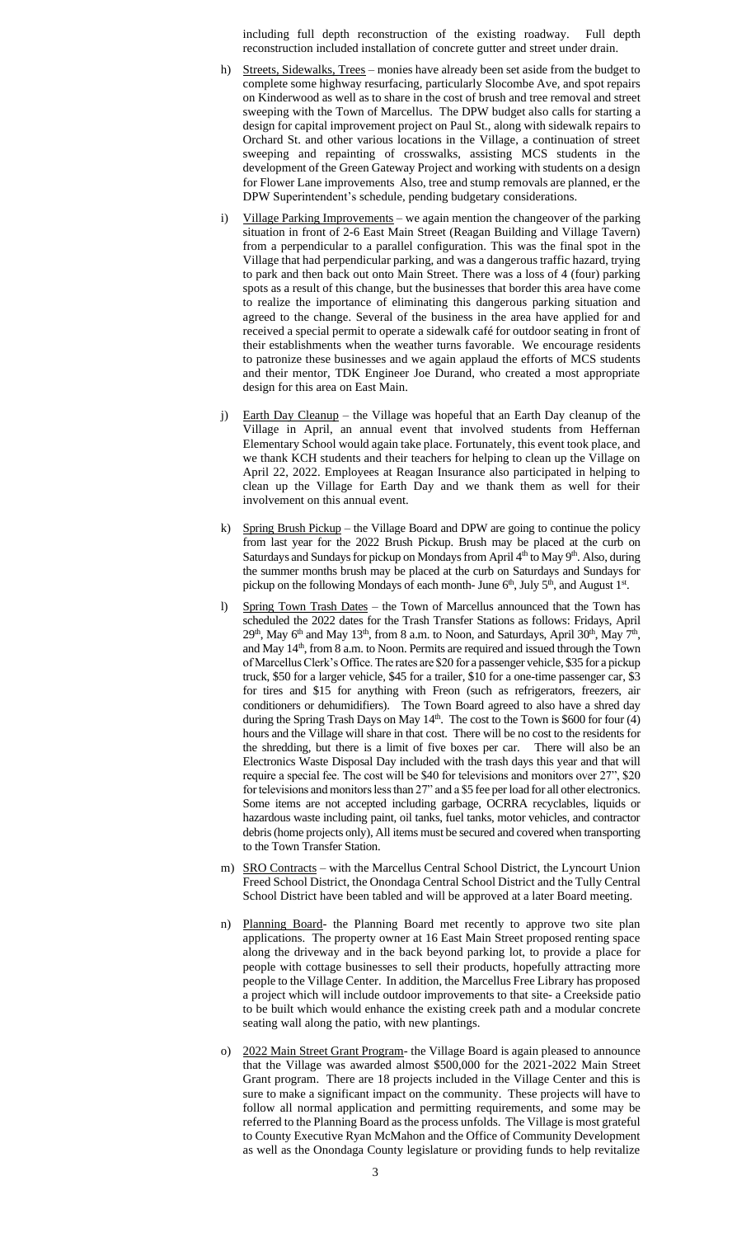including full depth reconstruction of the existing roadway. Full depth reconstruction included installation of concrete gutter and street under drain.

- h) Streets, Sidewalks, Trees monies have already been set aside from the budget to complete some highway resurfacing, particularly Slocombe Ave, and spot repairs on Kinderwood as well as to share in the cost of brush and tree removal and street sweeping with the Town of Marcellus. The DPW budget also calls for starting a design for capital improvement project on Paul St., along with sidewalk repairs to Orchard St. and other various locations in the Village, a continuation of street sweeping and repainting of crosswalks, assisting MCS students in the development of the Green Gateway Project and working with students on a design for Flower Lane improvements Also, tree and stump removals are planned, er the DPW Superintendent's schedule, pending budgetary considerations.
- Village Parking Improvements we again mention the changeover of the parking situation in front of 2-6 East Main Street (Reagan Building and Village Tavern) from a perpendicular to a parallel configuration. This was the final spot in the Village that had perpendicular parking, and was a dangerous traffic hazard, trying to park and then back out onto Main Street. There was a loss of 4 (four) parking spots as a result of this change, but the businesses that border this area have come to realize the importance of eliminating this dangerous parking situation and agreed to the change. Several of the business in the area have applied for and received a special permit to operate a sidewalk café for outdoor seating in front of their establishments when the weather turns favorable. We encourage residents to patronize these businesses and we again applaud the efforts of MCS students and their mentor, TDK Engineer Joe Durand, who created a most appropriate design for this area on East Main.
- j) Earth Day Cleanup the Village was hopeful that an Earth Day cleanup of the Village in April, an annual event that involved students from Heffernan Elementary School would again take place. Fortunately, this event took place, and we thank KCH students and their teachers for helping to clean up the Village on April 22, 2022. Employees at Reagan Insurance also participated in helping to clean up the Village for Earth Day and we thank them as well for their involvement on this annual event.
- k) Spring Brush Pickup the Village Board and DPW are going to continue the policy from last year for the 2022 Brush Pickup. Brush may be placed at the curb on Saturdays and Sundays for pickup on Mondays from April 4<sup>th</sup> to May 9<sup>th</sup>. Also, during the summer months brush may be placed at the curb on Saturdays and Sundays for pickup on the following Mondays of each month- June 6<sup>th</sup>, July 5<sup>th</sup>, and August 1<sup>st</sup>.
- Spring Town Trash Dates the Town of Marcellus announced that the Town has scheduled the 2022 dates for the Trash Transfer Stations as follows: Fridays, April  $29<sup>th</sup>$ , May  $6<sup>th</sup>$  and May  $13<sup>th</sup>$ , from 8 a.m. to Noon, and Saturdays, April  $30<sup>th</sup>$ , May  $7<sup>th</sup>$ , and May 14<sup>th</sup>, from 8 a.m. to Noon. Permits are required and issued through the Town of Marcellus Clerk's Office. The rates are \$20 for a passenger vehicle, \$35 for a pickup truck, \$50 for a larger vehicle, \$45 for a trailer, \$10 for a one-time passenger car, \$3 for tires and \$15 for anything with Freon (such as refrigerators, freezers, air conditioners or dehumidifiers). The Town Board agreed to also have a shred day during the Spring Trash Days on May 14<sup>th</sup>. The cost to the Town is \$600 for four (4) hours and the Village will share in that cost. There will be no cost to the residents for the shredding, but there is a limit of five boxes per car. There will also be an Electronics Waste Disposal Day included with the trash days this year and that will require a special fee. The cost will be \$40 for televisions and monitors over 27", \$20 for televisions and monitors less than 27" and a \$5 fee per load for all other electronics. Some items are not accepted including garbage, OCRRA recyclables, liquids or hazardous waste including paint, oil tanks, fuel tanks, motor vehicles, and contractor debris (home projects only), All items must be secured and covered when transporting to the Town Transfer Station.
- m) SRO Contracts with the Marcellus Central School District, the Lyncourt Union Freed School District, the Onondaga Central School District and the Tully Central School District have been tabled and will be approved at a later Board meeting.
- n) Planning Board- the Planning Board met recently to approve two site plan applications. The property owner at 16 East Main Street proposed renting space along the driveway and in the back beyond parking lot, to provide a place for people with cottage businesses to sell their products, hopefully attracting more people to the Village Center. In addition, the Marcellus Free Library has proposed a project which will include outdoor improvements to that site- a Creekside patio to be built which would enhance the existing creek path and a modular concrete seating wall along the patio, with new plantings.
- o) 2022 Main Street Grant Program- the Village Board is again pleased to announce that the Village was awarded almost \$500,000 for the 2021-2022 Main Street Grant program. There are 18 projects included in the Village Center and this is sure to make a significant impact on the community. These projects will have to follow all normal application and permitting requirements, and some may be referred to the Planning Board as the process unfolds. The Village is most grateful to County Executive Ryan McMahon and the Office of Community Development as well as the Onondaga County legislature or providing funds to help revitalize